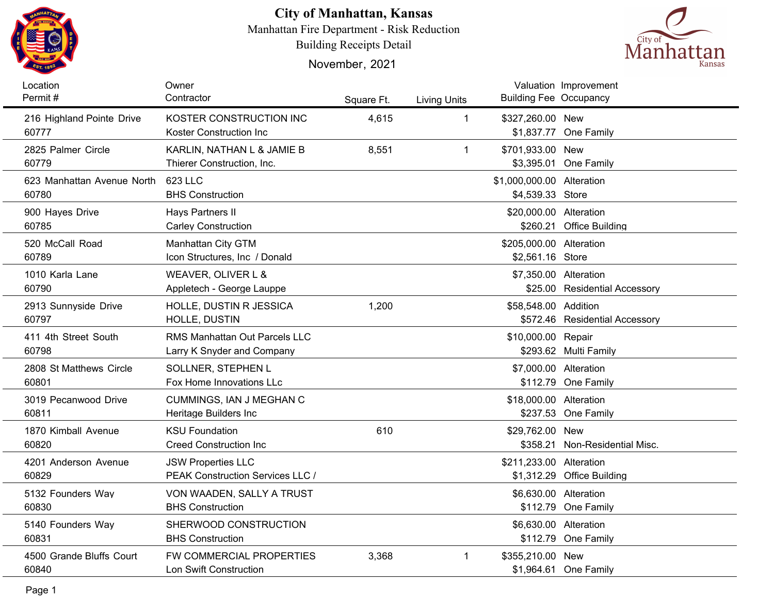

## **City of Manhattan, Kansas**

Manhattan Fire Department - Risk Reduction

Building Receipts Detail

November, 2021



| Location<br>Permit#                | Owner<br>Contractor                                | Square Ft. | <b>Living Units</b> | <b>Building Fee Occupancy</b> | Valuation Improvement          |
|------------------------------------|----------------------------------------------------|------------|---------------------|-------------------------------|--------------------------------|
|                                    |                                                    |            |                     |                               |                                |
| 216 Highland Pointe Drive<br>60777 | KOSTER CONSTRUCTION INC<br>Koster Construction Inc | 4,615      | $\mathbf 1$         | \$327,260.00 New              | \$1,837.77 One Family          |
| 2825 Palmer Circle                 | KARLIN, NATHAN L & JAMIE B                         | 8,551      | $\mathbf{1}$        | \$701,933.00 New              |                                |
| 60779                              | Thierer Construction, Inc.                         |            |                     |                               | \$3,395.01 One Family          |
| 623 Manhattan Avenue North         | 623 LLC                                            |            |                     | \$1,000,000.00 Alteration     |                                |
| 60780                              | <b>BHS Construction</b>                            |            |                     | \$4,539.33 Store              |                                |
| 900 Hayes Drive                    | Hays Partners II                                   |            |                     | \$20,000.00 Alteration        |                                |
| 60785                              | <b>Carley Construction</b>                         |            |                     |                               | \$260.21 Office Building       |
| 520 McCall Road                    | Manhattan City GTM                                 |            |                     | \$205,000.00 Alteration       |                                |
| 60789                              | Icon Structures, Inc / Donald                      |            |                     | \$2,561.16 Store              |                                |
| 1010 Karla Lane                    | WEAVER, OLIVER L &                                 |            |                     | \$7,350.00 Alteration         |                                |
| 60790                              | Appletech - George Lauppe                          |            |                     |                               | \$25.00 Residential Accessory  |
| 2913 Sunnyside Drive               | HOLLE, DUSTIN R JESSICA                            | 1,200      |                     | \$58,548.00 Addition          |                                |
| 60797                              | HOLLE, DUSTIN                                      |            |                     |                               | \$572.46 Residential Accessory |
| 411 4th Street South               | <b>RMS Manhattan Out Parcels LLC</b>               |            |                     | \$10,000.00 Repair            |                                |
| 60798                              | Larry K Snyder and Company                         |            |                     |                               | \$293.62 Multi Family          |
| 2808 St Matthews Circle            | SOLLNER, STEPHEN L                                 |            |                     | \$7,000.00 Alteration         |                                |
| 60801                              | Fox Home Innovations LLc                           |            |                     |                               | \$112.79 One Family            |
| 3019 Pecanwood Drive               | CUMMINGS, IAN J MEGHAN C                           |            |                     | \$18,000.00 Alteration        |                                |
| 60811                              | Heritage Builders Inc                              |            |                     |                               | \$237.53 One Family            |
| 1870 Kimball Avenue                | <b>KSU Foundation</b>                              | 610        |                     | \$29,762.00 New               |                                |
| 60820                              | <b>Creed Construction Inc</b>                      |            |                     |                               | \$358.21 Non-Residential Misc. |
| 4201 Anderson Avenue               | <b>JSW Properties LLC</b>                          |            |                     | \$211,233.00 Alteration       |                                |
| 60829                              | <b>PEAK Construction Services LLC /</b>            |            |                     |                               | \$1,312.29 Office Building     |
| 5132 Founders Way                  | VON WAADEN, SALLY A TRUST                          |            |                     | \$6,630.00 Alteration         |                                |
| 60830                              | <b>BHS Construction</b>                            |            |                     |                               | \$112.79 One Family            |
| 5140 Founders Way                  | SHERWOOD CONSTRUCTION                              |            |                     | \$6,630.00 Alteration         |                                |
| 60831                              | <b>BHS Construction</b>                            |            |                     |                               | \$112.79 One Family            |
| 4500 Grande Bluffs Court           | <b>FW COMMERCIAL PROPERTIES</b>                    | 3,368      | $\mathbf 1$         | \$355,210.00 New              |                                |
| 60840                              | Lon Swift Construction                             |            |                     |                               | \$1,964.61 One Family          |
|                                    |                                                    |            |                     |                               |                                |